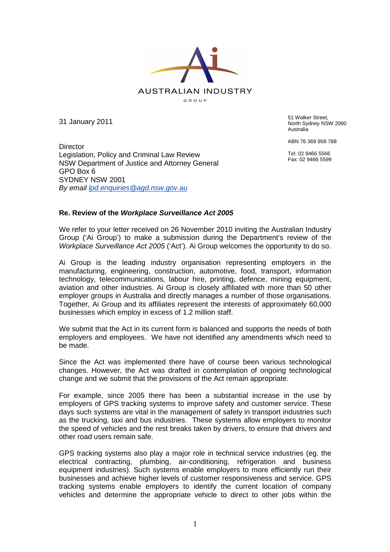

31 January 2011

51 Walker Street, North Sydney NSW 2060 Australia

ABN 76 369 958 788

Tel: 02 9466 5566 Fax: 02 9466 5599

**Director** Legislation, Policy and Criminal Law Review NSW Department of Justice and Attorney General GPO Box 6 SYDNEY NSW 2001 By email **lpd.enquiries@agd.nsw.gov.au** 

## **Re. Review of the Workplace Surveillance Act 2005**

We refer to your letter received on 26 November 2010 inviting the Australian Industry Group ('Ai Group') to make a submission during the Department's review of the Workplace Surveillance Act 2005 ('Act'). Ai Group welcomes the opportunity to do so.

Ai Group is the leading industry organisation representing employers in the manufacturing, engineering, construction, automotive, food, transport, information technology, telecommunications, labour hire, printing, defence, mining equipment, aviation and other industries. Ai Group is closely affiliated with more than 50 other employer groups in Australia and directly manages a number of those organisations. Together, Ai Group and its affiliates represent the interests of approximately 60,000 businesses which employ in excess of 1.2 million staff.

We submit that the Act in its current form is balanced and supports the needs of both employers and employees. We have not identified any amendments which need to be made.

Since the Act was implemented there have of course been various technological changes. However, the Act was drafted in contemplation of ongoing technological change and we submit that the provisions of the Act remain appropriate.

For example, since 2005 there has been a substantial increase in the use by employers of GPS tracking systems to improve safety and customer service. These days such systems are vital in the management of safety in transport industries such as the trucking, taxi and bus industries. These systems allow employers to monitor the speed of vehicles and the rest breaks taken by drivers, to ensure that drivers and other road users remain safe.

GPS tracking systems also play a major role in technical service industries (eg. the electrical contracting, plumbing, air-conditioning, refrigeration and business equipment industries). Such systems enable employers to more efficiently run their businesses and achieve higher levels of customer responsiveness and service. GPS tracking systems enable employers to identify the current location of company vehicles and determine the appropriate vehicle to direct to other jobs within the